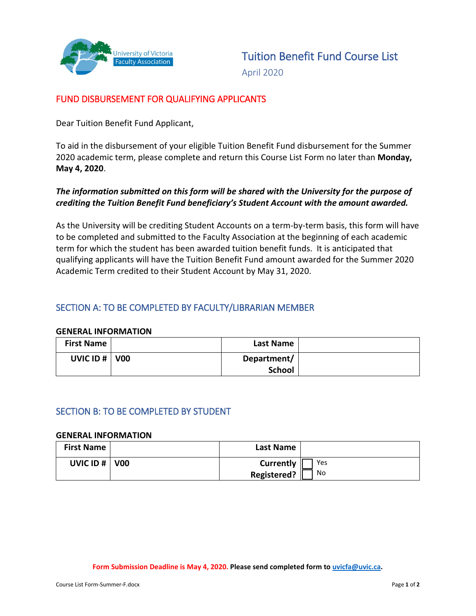

April 2020

# FUND DISBURSEMENT FOR QUALIFYING APPLICANTS

Dear Tuition Benefit Fund Applicant,

To aid in the disbursement of your eligible Tuition Benefit Fund disbursement for the Summer 2020 academic term, please complete and return this Course List Form no later than **Monday, May 4, 2020**.

## *The information submitted on this form will be shared with the University for the purpose of crediting the Tuition Benefit Fund beneficiary's Student Account with the amount awarded.*

As the University will be crediting Student Accounts on a term-by-term basis, this form will have to be completed and submitted to the Faculty Association at the beginning of each academic term for which the student has been awarded tuition benefit funds. It is anticipated that qualifying applicants will have the Tuition Benefit Fund amount awarded for the Summer 2020 Academic Term credited to their Student Account by May 31, 2020.

## SECTION A: TO BE COMPLETED BY FACULTY/LIBRARIAN MEMBER

#### **GENERAL INFORMATION**

| <b>First Name</b>  | Last Name                    |  |
|--------------------|------------------------------|--|
| UVIC ID $\#$   V00 | Department/<br><b>School</b> |  |

## SECTION B: TO BE COMPLETED BY STUDENT

#### **GENERAL INFORMATION**

| <b>First Name</b>      | <b>Last Name</b>   |     |
|------------------------|--------------------|-----|
| <b>UVIC ID #   V00</b> | Currently          | Yes |
|                        | <b>Registered?</b> | No  |

**Form Submission Deadline is May 4, 2020. Please send completed form t[o uvicfa@uvic.ca.](mailto:uvicfa@uvic.ca)**